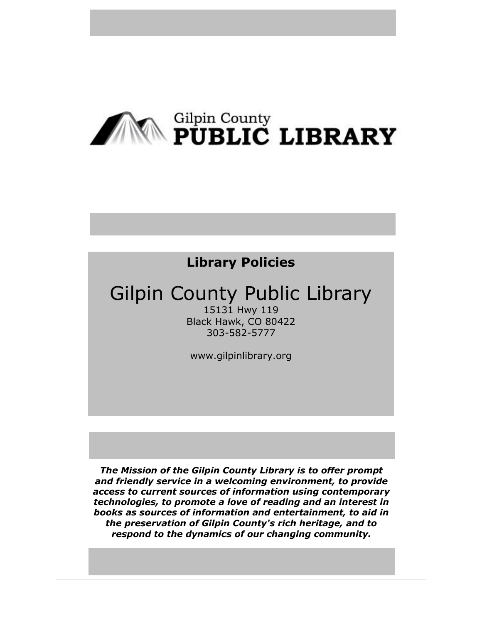

# **Library Policies**

# Gilpin County Public Library

15131 Hwy 119 Black Hawk, CO 80422 303-582-5777

www.gilpinlibrary.org

*The Mission of the Gilpin County Library is to offer prompt and friendly service in a welcoming environment, to provide access to current sources of information using contemporary technologies, to promote a love of reading and an interest in books as sources of information and entertainment, to aid in the preservation of Gilpin County's rich heritage, and to respond to the dynamics of our changing community.*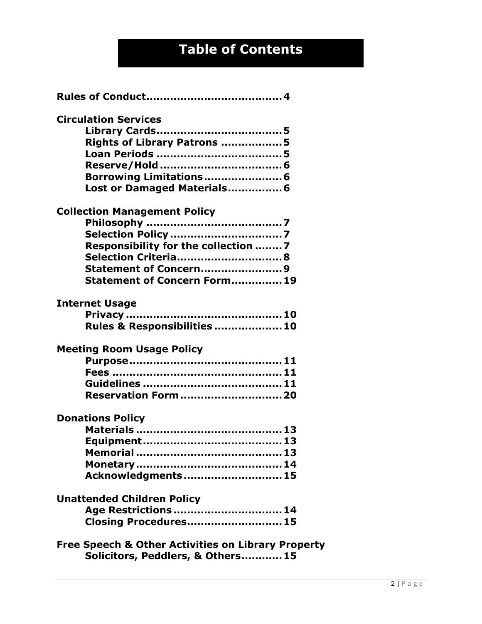# **Table of Contents**

| <b>Circulation Services</b>                                   |
|---------------------------------------------------------------|
|                                                               |
| Rights of Library Patrons 5                                   |
|                                                               |
|                                                               |
| Borrowing Limitations 6                                       |
| Lost or Damaged Materials 6                                   |
| <b>Collection Management Policy</b>                           |
|                                                               |
|                                                               |
| Responsibility for the collection 7                           |
| Selection Criteria 8                                          |
| Statement of Concern9                                         |
| Statement of Concern Form 19                                  |
| <b>Internet Usage</b>                                         |
|                                                               |
| Rules & Responsibilities  10                                  |
| <b>Meeting Room Usage Policy</b>                              |
|                                                               |
|                                                               |
|                                                               |
| <b>Reservation Form  20</b>                                   |
| <b>Donations Policy</b>                                       |
|                                                               |
|                                                               |
|                                                               |
|                                                               |
| Acknowledgments 15                                            |
| <b>Unattended Children Policy</b>                             |
| Age Restrictions  14                                          |
| <b>Closing Procedures 15</b>                                  |
| <b>Free Speech &amp; Other Activities on Library Property</b> |
| Solicitors, Peddlers, & Others 15                             |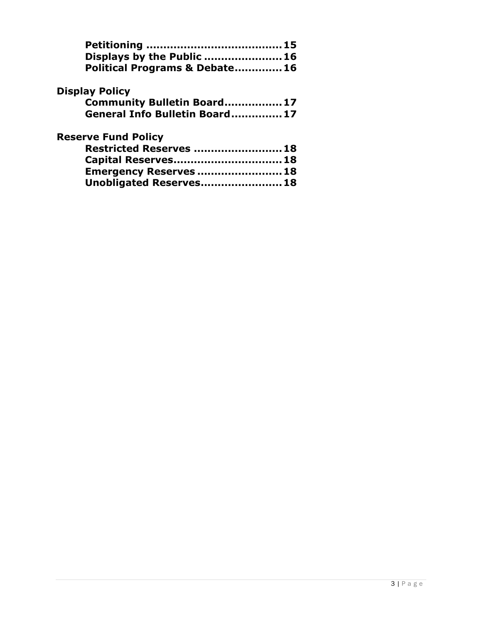|                            | 15<br>Displays by the Public  16 |
|----------------------------|----------------------------------|
|                            | Political Programs & Debate 16   |
| <b>Display Policy</b>      |                                  |
|                            | Community Bulletin Board 17      |
|                            | General Info Bulletin Board 17   |
| <b>Reserve Fund Policy</b> |                                  |
|                            | Restricted Reserves  18          |
|                            | Capital Reserves 18              |
|                            | Emergency Reserves  18           |
|                            | Unobligated Reserves 18          |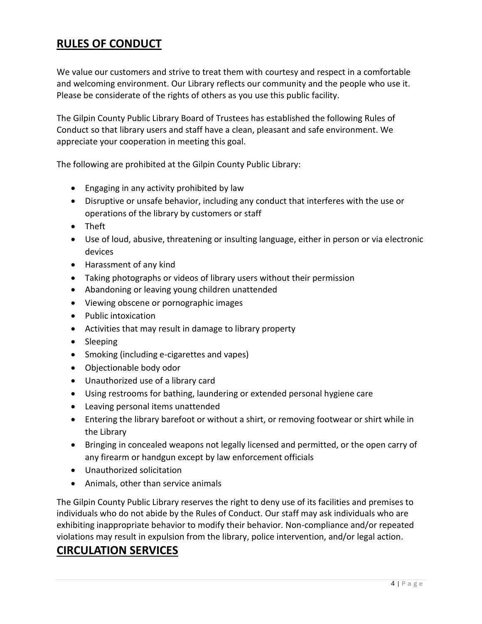# **RULES OF CONDUCT**

We value our customers and strive to treat them with courtesy and respect in a comfortable and welcoming environment. Our Library reflects our community and the people who use it. Please be considerate of the rights of others as you use this public facility.

The Gilpin County Public Library Board of Trustees has established the following Rules of Conduct so that library users and staff have a clean, pleasant and safe environment. We appreciate your cooperation in meeting this goal.

The following are prohibited at the Gilpin County Public Library:

- Engaging in any activity prohibited by law
- Disruptive or unsafe behavior, including any conduct that interferes with the use or operations of the library by customers or staff
- Theft
- Use of loud, abusive, threatening or insulting language, either in person or via electronic devices
- Harassment of any kind
- Taking photographs or videos of library users without their permission
- Abandoning or leaving young children unattended
- Viewing obscene or pornographic images
- Public intoxication
- Activities that may result in damage to library property
- Sleeping
- Smoking (including e-cigarettes and vapes)
- Objectionable body odor
- Unauthorized use of a library card
- Using restrooms for bathing, laundering or extended personal hygiene care
- Leaving personal items unattended
- Entering the library barefoot or without a shirt, or removing footwear or shirt while in the Library
- Bringing in concealed weapons not legally licensed and permitted, or the open carry of any firearm or handgun except by law enforcement officials
- Unauthorized solicitation
- Animals, other than service animals

The Gilpin County Public Library reserves the right to deny use of its facilities and premises to individuals who do not abide by the Rules of Conduct. Our staff may ask individuals who are exhibiting inappropriate behavior to modify their behavior. Non-compliance and/or repeated violations may result in expulsion from the library, police intervention, and/or legal action.

# **CIRCULATION SERVICES**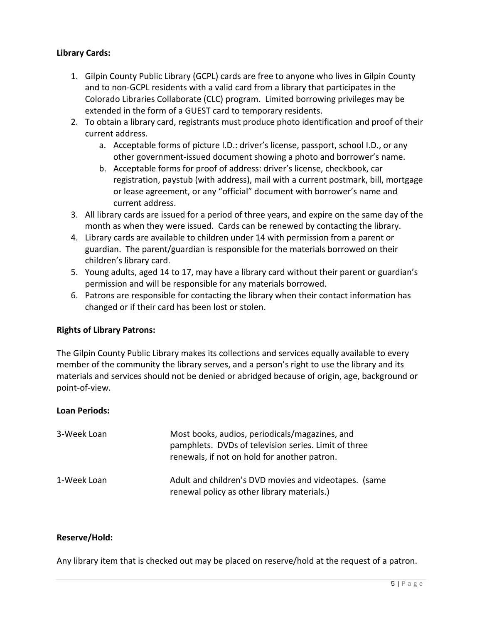#### **Library Cards:**

- 1. Gilpin County Public Library (GCPL) cards are free to anyone who lives in Gilpin County and to non-GCPL residents with a valid card from a library that participates in the Colorado Libraries Collaborate (CLC) program. Limited borrowing privileges may be extended in the form of a GUEST card to temporary residents.
- 2. To obtain a library card, registrants must produce photo identification and proof of their current address.
	- a. Acceptable forms of picture I.D.: driver's license, passport, school I.D., or any other government-issued document showing a photo and borrower's name.
	- b. Acceptable forms for proof of address: driver's license, checkbook, car registration, paystub (with address), mail with a current postmark, bill, mortgage or lease agreement, or any "official" document with borrower's name and current address.
- 3. All library cards are issued for a period of three years, and expire on the same day of the month as when they were issued. Cards can be renewed by contacting the library.
- 4. Library cards are available to children under 14 with permission from a parent or guardian. The parent/guardian is responsible for the materials borrowed on their children's library card.
- 5. Young adults, aged 14 to 17, may have a library card without their parent or guardian's permission and will be responsible for any materials borrowed.
- 6. Patrons are responsible for contacting the library when their contact information has changed or if their card has been lost or stolen.

#### **Rights of Library Patrons:**

The Gilpin County Public Library makes its collections and services equally available to every member of the community the library serves, and a person's right to use the library and its materials and services should not be denied or abridged because of origin, age, background or point-of-view.

#### **Loan Periods:**

| 3-Week Loan | Most books, audios, periodicals/magazines, and<br>pamphlets. DVDs of television series. Limit of three<br>renewals, if not on hold for another patron. |  |
|-------------|--------------------------------------------------------------------------------------------------------------------------------------------------------|--|
| 1-Week Loan | Adult and children's DVD movies and videotapes. (same<br>renewal policy as other library materials.)                                                   |  |

#### **Reserve/Hold:**

Any library item that is checked out may be placed on reserve/hold at the request of a patron.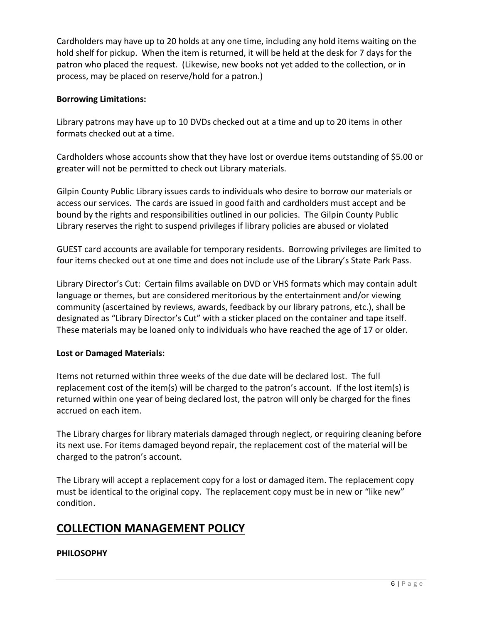Cardholders may have up to 20 holds at any one time, including any hold items waiting on the hold shelf for pickup. When the item is returned, it will be held at the desk for 7 days for the patron who placed the request. (Likewise, new books not yet added to the collection, or in process, may be placed on reserve/hold for a patron.)

### **Borrowing Limitations:**

Library patrons may have up to 10 DVDs checked out at a time and up to 20 items in other formats checked out at a time.

Cardholders whose accounts show that they have lost or overdue items outstanding of \$5.00 or greater will not be permitted to check out Library materials.

Gilpin County Public Library issues cards to individuals who desire to borrow our materials or access our services. The cards are issued in good faith and cardholders must accept and be bound by the rights and responsibilities outlined in our policies. The Gilpin County Public Library reserves the right to suspend privileges if library policies are abused or violated

GUEST card accounts are available for temporary residents. Borrowing privileges are limited to four items checked out at one time and does not include use of the Library's State Park Pass.

Library Director's Cut: Certain films available on DVD or VHS formats which may contain adult language or themes, but are considered meritorious by the entertainment and/or viewing community (ascertained by reviews, awards, feedback by our library patrons, etc.), shall be designated as "Library Director's Cut" with a sticker placed on the container and tape itself. These materials may be loaned only to individuals who have reached the age of 17 or older.

#### **Lost or Damaged Materials:**

Items not returned within three weeks of the due date will be declared lost. The full replacement cost of the item(s) will be charged to the patron's account. If the lost item(s) is returned within one year of being declared lost, the patron will only be charged for the fines accrued on each item.

The Library charges for library materials damaged through neglect, or requiring cleaning before its next use. For items damaged beyond repair, the replacement cost of the material will be charged to the patron's account.

The Library will accept a replacement copy for a lost or damaged item. The replacement copy must be identical to the original copy. The replacement copy must be in new or "like new" condition.

# **COLLECTION MANAGEMENT POLICY**

## **PHILOSOPHY**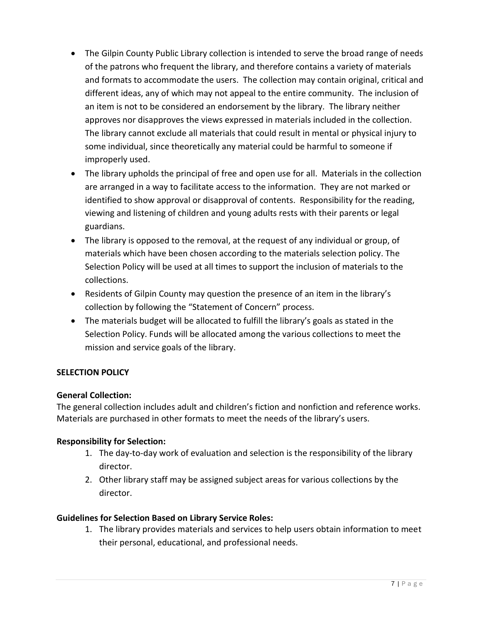- The Gilpin County Public Library collection is intended to serve the broad range of needs of the patrons who frequent the library, and therefore contains a variety of materials and formats to accommodate the users. The collection may contain original, critical and different ideas, any of which may not appeal to the entire community. The inclusion of an item is not to be considered an endorsement by the library. The library neither approves nor disapproves the views expressed in materials included in the collection. The library cannot exclude all materials that could result in mental or physical injury to some individual, since theoretically any material could be harmful to someone if improperly used.
- The library upholds the principal of free and open use for all. Materials in the collection are arranged in a way to facilitate access to the information. They are not marked or identified to show approval or disapproval of contents. Responsibility for the reading, viewing and listening of children and young adults rests with their parents or legal guardians.
- The library is opposed to the removal, at the request of any individual or group, of materials which have been chosen according to the materials selection policy. The Selection Policy will be used at all times to support the inclusion of materials to the collections.
- Residents of Gilpin County may question the presence of an item in the library's collection by following the "Statement of Concern" process.
- The materials budget will be allocated to fulfill the library's goals as stated in the Selection Policy. Funds will be allocated among the various collections to meet the mission and service goals of the library.

## **SELECTION POLICY**

## **General Collection:**

The general collection includes adult and children's fiction and nonfiction and reference works. Materials are purchased in other formats to meet the needs of the library's users.

## **Responsibility for Selection:**

- 1. The day-to-day work of evaluation and selection is the responsibility of the library director.
- 2. Other library staff may be assigned subject areas for various collections by the director.

## **Guidelines for Selection Based on Library Service Roles:**

1. The library provides materials and services to help users obtain information to meet their personal, educational, and professional needs.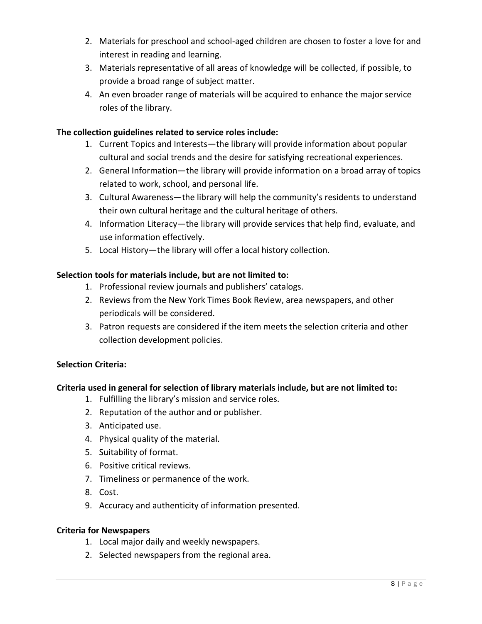- 2. Materials for preschool and school-aged children are chosen to foster a love for and interest in reading and learning.
- 3. Materials representative of all areas of knowledge will be collected, if possible, to provide a broad range of subject matter.
- 4. An even broader range of materials will be acquired to enhance the major service roles of the library.

# **The collection guidelines related to service roles include:**

- 1. Current Topics and Interests—the library will provide information about popular cultural and social trends and the desire for satisfying recreational experiences.
- 2. General Information—the library will provide information on a broad array of topics related to work, school, and personal life.
- 3. Cultural Awareness—the library will help the community's residents to understand their own cultural heritage and the cultural heritage of others.
- 4. Information Literacy—the library will provide services that help find, evaluate, and use information effectively.
- 5. Local History—the library will offer a local history collection.

# **Selection tools for materials include, but are not limited to:**

- 1. Professional review journals and publishers' catalogs.
- 2. Reviews from the New York Times Book Review, area newspapers, and other periodicals will be considered.
- 3. Patron requests are considered if the item meets the selection criteria and other collection development policies.

## **Selection Criteria:**

## **Criteria used in general for selection of library materials include, but are not limited to:**

- 1. Fulfilling the library's mission and service roles.
- 2. Reputation of the author and or publisher.
- 3. Anticipated use.
- 4. Physical quality of the material.
- 5. Suitability of format.
- 6. Positive critical reviews.
- 7. Timeliness or permanence of the work.
- 8. Cost.
- 9. Accuracy and authenticity of information presented.

#### **Criteria for Newspapers**

- 1. Local major daily and weekly newspapers.
- 2. Selected newspapers from the regional area.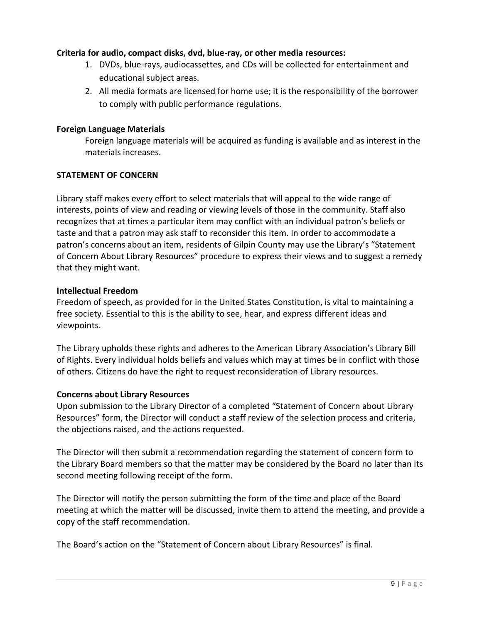#### **Criteria for audio, compact disks, dvd, blue-ray, or other media resources:**

- 1. DVDs, blue-rays, audiocassettes, and CDs will be collected for entertainment and educational subject areas.
- 2. All media formats are licensed for home use; it is the responsibility of the borrower to comply with public performance regulations.

#### **Foreign Language Materials**

Foreign language materials will be acquired as funding is available and as interest in the materials increases.

#### **STATEMENT OF CONCERN**

Library staff makes every effort to select materials that will appeal to the wide range of interests, points of view and reading or viewing levels of those in the community. Staff also recognizes that at times a particular item may conflict with an individual patron's beliefs or taste and that a patron may ask staff to reconsider this item. In order to accommodate a patron's concerns about an item, residents of Gilpin County may use the Library's "Statement of Concern About Library Resources" procedure to express their views and to suggest a remedy that they might want.

#### **Intellectual Freedom**

Freedom of speech, as provided for in the United States Constitution, is vital to maintaining a free society. Essential to this is the ability to see, hear, and express different ideas and viewpoints.

The Library upholds these rights and adheres to the American Library Association's Library Bill of Rights. Every individual holds beliefs and values which may at times be in conflict with those of others. Citizens do have the right to request reconsideration of Library resources.

#### **Concerns about Library Resources**

Upon submission to the Library Director of a completed "Statement of Concern about Library Resources" form, the Director will conduct a staff review of the selection process and criteria, the objections raised, and the actions requested.

The Director will then submit a recommendation regarding the statement of concern form to the Library Board members so that the matter may be considered by the Board no later than its second meeting following receipt of the form.

The Director will notify the person submitting the form of the time and place of the Board meeting at which the matter will be discussed, invite them to attend the meeting, and provide a copy of the staff recommendation.

The Board's action on the "Statement of Concern about Library Resources" is final.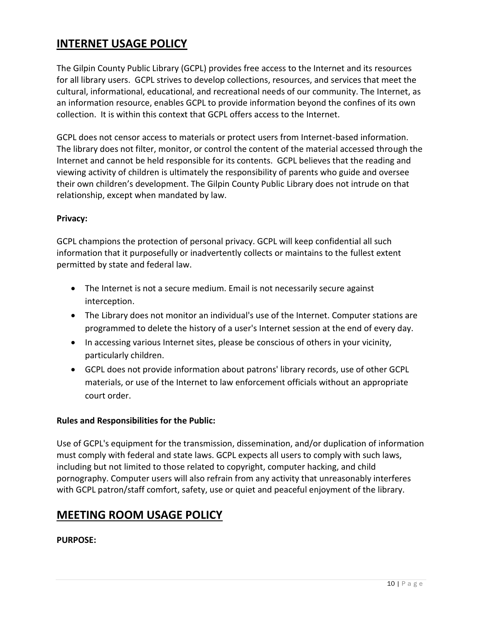# **INTERNET USAGE POLICY**

The Gilpin County Public Library (GCPL) provides free access to the Internet and its resources for all library users. GCPL strives to develop collections, resources, and services that meet the cultural, informational, educational, and recreational needs of our community. The Internet, as an information resource, enables GCPL to provide information beyond the confines of its own collection. It is within this context that GCPL offers access to the Internet.

GCPL does not censor access to materials or protect users from Internet-based information. The library does not filter, monitor, or control the content of the material accessed through the Internet and cannot be held responsible for its contents. GCPL believes that the reading and viewing activity of children is ultimately the responsibility of parents who guide and oversee their own children's development. The Gilpin County Public Library does not intrude on that relationship, except when mandated by law.

#### **Privacy:**

GCPL champions the protection of personal privacy. GCPL will keep confidential all such information that it purposefully or inadvertently collects or maintains to the fullest extent permitted by state and federal law.

- The Internet is not a secure medium. Email is not necessarily secure against interception.
- The Library does not monitor an individual's use of the Internet. Computer stations are programmed to delete the history of a user's Internet session at the end of every day.
- In accessing various Internet sites, please be conscious of others in your vicinity, particularly children.
- GCPL does not provide information about patrons' library records, use of other GCPL materials, or use of the Internet to law enforcement officials without an appropriate court order.

## **Rules and Responsibilities for the Public:**

Use of GCPL's equipment for the transmission, dissemination, and/or duplication of information must comply with federal and state laws. GCPL expects all users to comply with such laws, including but not limited to those related to copyright, computer hacking, and child pornography. Computer users will also refrain from any activity that unreasonably interferes with GCPL patron/staff comfort, safety, use or quiet and peaceful enjoyment of the library.

# **MEETING ROOM USAGE POLICY**

#### **PURPOSE:**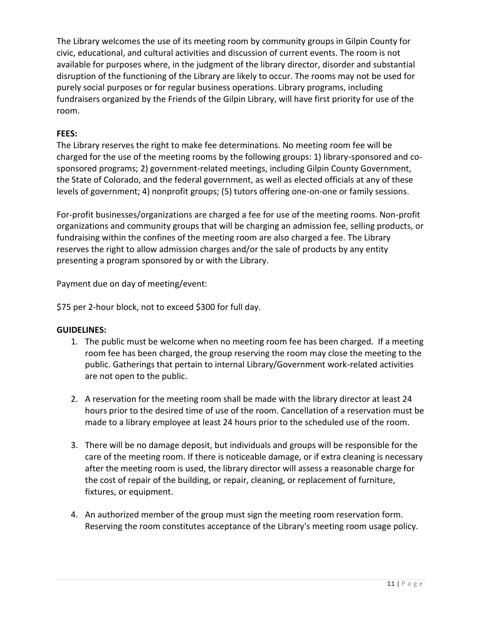The Library welcomes the use of its meeting room by community groups in Gilpin County for civic, educational, and cultural activities and discussion of current events. The room is not available for purposes where, in the judgment of the library director, disorder and substantial disruption of the functioning of the Library are likely to occur. The rooms may not be used for purely social purposes or for regular business operations. Library programs, including fundraisers organized by the Friends of the Gilpin Library, will have first priority for use of the room.

# **FEES:**

The Library reserves the right to make fee determinations. No meeting room fee will be charged for the use of the meeting rooms by the following groups: 1) library-sponsored and cosponsored programs; 2) government-related meetings, including Gilpin County Government, the State of Colorado, and the federal government, as well as elected officials at any of these levels of government; 4) nonprofit groups; (5) tutors offering one-on-one or family sessions.

For-profit businesses/organizations are charged a fee for use of the meeting rooms. Non-profit organizations and community groups that will be charging an admission fee, selling products, or fundraising within the confines of the meeting room are also charged a fee. The Library reserves the right to allow admission charges and/or the sale of products by any entity presenting a program sponsored by or with the Library.

Payment due on day of meeting/event:

\$75 per 2-hour block, not to exceed \$300 for full day.

#### **GUIDELINES:**

- 1. The public must be welcome when no meeting room fee has been charged. If a meeting room fee has been charged, the group reserving the room may close the meeting to the public. Gatherings that pertain to internal Library/Government work-related activities are not open to the public.
- 2. A reservation for the meeting room shall be made with the library director at least 24 hours prior to the desired time of use of the room. Cancellation of a reservation must be made to a library employee at least 24 hours prior to the scheduled use of the room.
- 3. There will be no damage deposit, but individuals and groups will be responsible for the care of the meeting room. If there is noticeable damage, or if extra cleaning is necessary after the meeting room is used, the library director will assess a reasonable charge for the cost of repair of the building, or repair, cleaning, or replacement of furniture, fixtures, or equipment.
- 4. An authorized member of the group must sign the meeting room reservation form. Reserving the room constitutes acceptance of the Library's meeting room usage policy.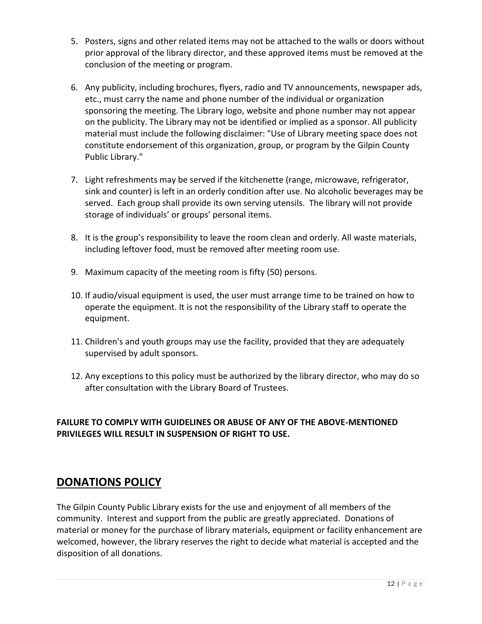- 5. Posters, signs and other related items may not be attached to the walls or doors without prior approval of the library director, and these approved items must be removed at the conclusion of the meeting or program.
- 6. Any publicity, including brochures, flyers, radio and TV announcements, newspaper ads, etc., must carry the name and phone number of the individual or organization sponsoring the meeting. The Library logo, website and phone number may not appear on the publicity. The Library may not be identified or implied as a sponsor. All publicity material must include the following disclaimer: "Use of Library meeting space does not constitute endorsement of this organization, group, or program by the Gilpin County Public Library."
- 7. Light refreshments may be served if the kitchenette (range, microwave, refrigerator, sink and counter) is left in an orderly condition after use. No alcoholic beverages may be served. Each group shall provide its own serving utensils. The library will not provide storage of individuals' or groups' personal items.
- 8. It is the group's responsibility to leave the room clean and orderly. All waste materials, including leftover food, must be removed after meeting room use.
- 9. Maximum capacity of the meeting room is fifty (50) persons.
- 10. If audio/visual equipment is used, the user must arrange time to be trained on how to operate the equipment. It is not the responsibility of the Library staff to operate the equipment.
- 11. Children's and youth groups may use the facility, provided that they are adequately supervised by adult sponsors.
- 12. Any exceptions to this policy must be authorized by the library director, who may do so after consultation with the Library Board of Trustees.

# **FAILURE TO COMPLY WITH GUIDELINES OR ABUSE OF ANY OF THE ABOVE-MENTIONED PRIVILEGES WILL RESULT IN SUSPENSION OF RIGHT TO USE.**

# **DONATIONS POLICY**

The Gilpin County Public Library exists for the use and enjoyment of all members of the community. Interest and support from the public are greatly appreciated. Donations of material or money for the purchase of library materials, equipment or facility enhancement are welcomed, however, the library reserves the right to decide what material is accepted and the disposition of all donations.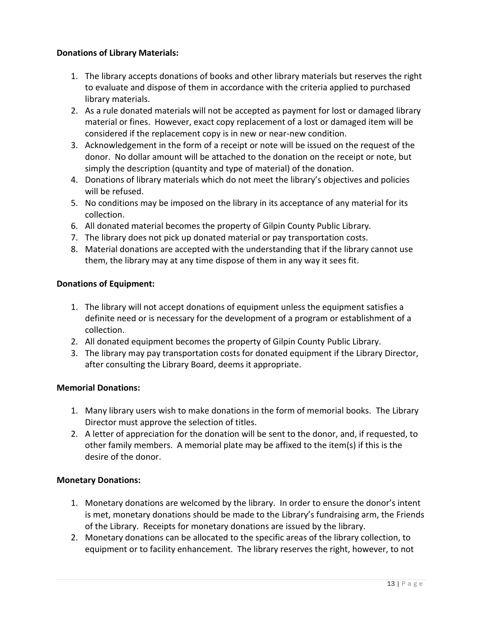#### **Donations of Library Materials:**

- 1. The library accepts donations of books and other library materials but reserves the right to evaluate and dispose of them in accordance with the criteria applied to purchased library materials.
- 2. As a rule donated materials will not be accepted as payment for lost or damaged library material or fines. However, exact copy replacement of a lost or damaged item will be considered if the replacement copy is in new or near-new condition.
- 3. Acknowledgement in the form of a receipt or note will be issued on the request of the donor. No dollar amount will be attached to the donation on the receipt or note, but simply the description (quantity and type of material) of the donation.
- 4. Donations of library materials which do not meet the library's objectives and policies will be refused.
- 5. No conditions may be imposed on the library in its acceptance of any material for its collection.
- 6. All donated material becomes the property of Gilpin County Public Library.
- 7. The library does not pick up donated material or pay transportation costs.
- 8. Material donations are accepted with the understanding that if the library cannot use them, the library may at any time dispose of them in any way it sees fit.

### **Donations of Equipment:**

- 1. The library will not accept donations of equipment unless the equipment satisfies a definite need or is necessary for the development of a program or establishment of a collection.
- 2. All donated equipment becomes the property of Gilpin County Public Library.
- 3. The library may pay transportation costs for donated equipment if the Library Director, after consulting the Library Board, deems it appropriate.

## **Memorial Donations:**

- 1. Many library users wish to make donations in the form of memorial books. The Library Director must approve the selection of titles.
- 2. A letter of appreciation for the donation will be sent to the donor, and, if requested, to other family members. A memorial plate may be affixed to the item(s) if this is the desire of the donor.

## **Monetary Donations:**

- 1. Monetary donations are welcomed by the library. In order to ensure the donor's intent is met, monetary donations should be made to the Library's fundraising arm, the Friends of the Library. Receipts for monetary donations are issued by the library.
- 2. Monetary donations can be allocated to the specific areas of the library collection, to equipment or to facility enhancement. The library reserves the right, however, to not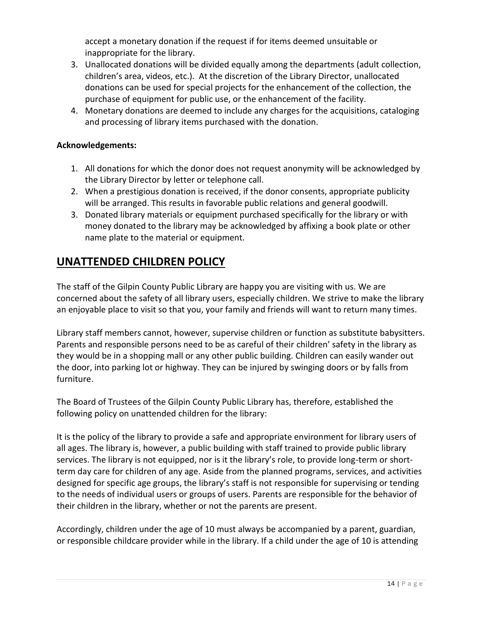accept a monetary donation if the request if for items deemed unsuitable or inappropriate for the library.

- 3. Unallocated donations will be divided equally among the departments (adult collection, children's area, videos, etc.). At the discretion of the Library Director, unallocated donations can be used for special projects for the enhancement of the collection, the purchase of equipment for public use, or the enhancement of the facility.
- 4. Monetary donations are deemed to include any charges for the acquisitions, cataloging and processing of library items purchased with the donation.

# **Acknowledgements:**

- 1. All donations for which the donor does not request anonymity will be acknowledged by the Library Director by letter or telephone call.
- 2. When a prestigious donation is received, if the donor consents, appropriate publicity will be arranged. This results in favorable public relations and general goodwill.
- 3. Donated library materials or equipment purchased specifically for the library or with money donated to the library may be acknowledged by affixing a book plate or other name plate to the material or equipment.

# **UNATTENDED CHILDREN POLICY**

The staff of the Gilpin County Public Library are happy you are visiting with us. We are concerned about the safety of all library users, especially children. We strive to make the library an enjoyable place to visit so that you, your family and friends will want to return many times.

Library staff members cannot, however, supervise children or function as substitute babysitters. Parents and responsible persons need to be as careful of their children' safety in the library as they would be in a shopping mall or any other public building. Children can easily wander out the door, into parking lot or highway. They can be injured by swinging doors or by falls from furniture.

The Board of Trustees of the Gilpin County Public Library has, therefore, established the following policy on unattended children for the library:

It is the policy of the library to provide a safe and appropriate environment for library users of all ages. The library is, however, a public building with staff trained to provide public library services. The library is not equipped, nor is it the library's role, to provide long-term or shortterm day care for children of any age. Aside from the planned programs, services, and activities designed for specific age groups, the library's staff is not responsible for supervising or tending to the needs of individual users or groups of users. Parents are responsible for the behavior of their children in the library, whether or not the parents are present.

Accordingly, children under the age of 10 must always be accompanied by a parent, guardian, or responsible childcare provider while in the library. If a child under the age of 10 is attending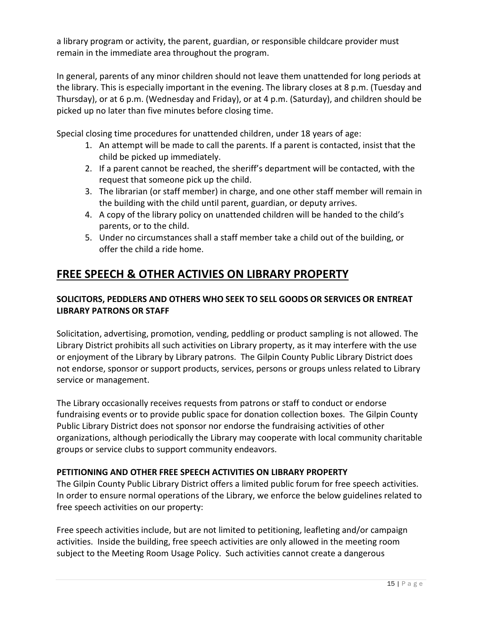a library program or activity, the parent, guardian, or responsible childcare provider must remain in the immediate area throughout the program.

In general, parents of any minor children should not leave them unattended for long periods at the library. This is especially important in the evening. The library closes at 8 p.m. (Tuesday and Thursday), or at 6 p.m. (Wednesday and Friday), or at 4 p.m. (Saturday), and children should be picked up no later than five minutes before closing time.

Special closing time procedures for unattended children, under 18 years of age:

- 1. An attempt will be made to call the parents. If a parent is contacted, insist that the child be picked up immediately.
- 2. If a parent cannot be reached, the sheriff's department will be contacted, with the request that someone pick up the child.
- 3. The librarian (or staff member) in charge, and one other staff member will remain in the building with the child until parent, guardian, or deputy arrives.
- 4. A copy of the library policy on unattended children will be handed to the child's parents, or to the child.
- 5. Under no circumstances shall a staff member take a child out of the building, or offer the child a ride home.

# **FREE SPEECH & OTHER ACTIVIES ON LIBRARY PROPERTY**

# **SOLICITORS, PEDDLERS AND OTHERS WHO SEEK TO SELL GOODS OR SERVICES OR ENTREAT LIBRARY PATRONS OR STAFF**

Solicitation, advertising, promotion, vending, peddling or product sampling is not allowed. The Library District prohibits all such activities on Library property, as it may interfere with the use or enjoyment of the Library by Library patrons. The Gilpin County Public Library District does not endorse, sponsor or support products, services, persons or groups unless related to Library service or management.

The Library occasionally receives requests from patrons or staff to conduct or endorse fundraising events or to provide public space for donation collection boxes. The Gilpin County Public Library District does not sponsor nor endorse the fundraising activities of other organizations, although periodically the Library may cooperate with local community charitable groups or service clubs to support community endeavors.

# **PETITIONING AND OTHER FREE SPEECH ACTIVITIES ON LIBRARY PROPERTY**

The Gilpin County Public Library District offers a limited public forum for free speech activities. In order to ensure normal operations of the Library, we enforce the below guidelines related to free speech activities on our property:

Free speech activities include, but are not limited to petitioning, leafleting and/or campaign activities. Inside the building, free speech activities are only allowed in the meeting room subject to the Meeting Room Usage Policy. Such activities cannot create a dangerous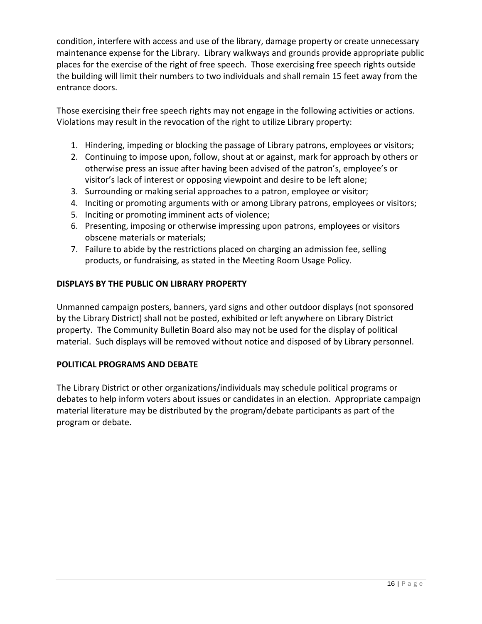condition, interfere with access and use of the library, damage property or create unnecessary maintenance expense for the Library. Library walkways and grounds provide appropriate public places for the exercise of the right of free speech. Those exercising free speech rights outside the building will limit their numbers to two individuals and shall remain 15 feet away from the entrance doors.

Those exercising their free speech rights may not engage in the following activities or actions. Violations may result in the revocation of the right to utilize Library property:

- 1. Hindering, impeding or blocking the passage of Library patrons, employees or visitors;
- 2. Continuing to impose upon, follow, shout at or against, mark for approach by others or otherwise press an issue after having been advised of the patron's, employee's or visitor's lack of interest or opposing viewpoint and desire to be left alone;
- 3. Surrounding or making serial approaches to a patron, employee or visitor;
- 4. Inciting or promoting arguments with or among Library patrons, employees or visitors;
- 5. Inciting or promoting imminent acts of violence;
- 6. Presenting, imposing or otherwise impressing upon patrons, employees or visitors obscene materials or materials;
- 7. Failure to abide by the restrictions placed on charging an admission fee, selling products, or fundraising, as stated in the Meeting Room Usage Policy.

#### **DISPLAYS BY THE PUBLIC ON LIBRARY PROPERTY**

Unmanned campaign posters, banners, yard signs and other outdoor displays (not sponsored by the Library District) shall not be posted, exhibited or left anywhere on Library District property. The Community Bulletin Board also may not be used for the display of political material. Such displays will be removed without notice and disposed of by Library personnel.

#### **POLITICAL PROGRAMS AND DEBATE**

The Library District or other organizations/individuals may schedule political programs or debates to help inform voters about issues or candidates in an election. Appropriate campaign material literature may be distributed by the program/debate participants as part of the program or debate.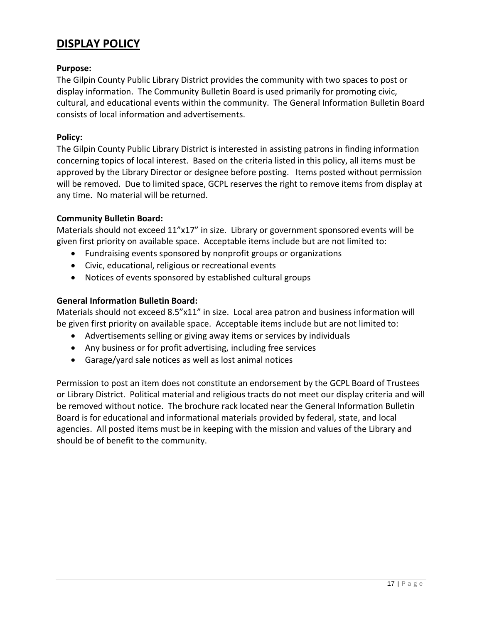# **DISPLAY POLICY**

#### **Purpose:**

The Gilpin County Public Library District provides the community with two spaces to post or display information. The Community Bulletin Board is used primarily for promoting civic, cultural, and educational events within the community. The General Information Bulletin Board consists of local information and advertisements.

#### **Policy:**

The Gilpin County Public Library District is interested in assisting patrons in finding information concerning topics of local interest. Based on the criteria listed in this policy, all items must be approved by the Library Director or designee before posting. Items posted without permission will be removed. Due to limited space, GCPL reserves the right to remove items from display at any time. No material will be returned.

#### **Community Bulletin Board:**

Materials should not exceed 11"x17" in size. Library or government sponsored events will be given first priority on available space. Acceptable items include but are not limited to:

- Fundraising events sponsored by nonprofit groups or organizations
- Civic, educational, religious or recreational events
- Notices of events sponsored by established cultural groups

#### **General Information Bulletin Board:**

Materials should not exceed 8.5"x11" in size. Local area patron and business information will be given first priority on available space. Acceptable items include but are not limited to:

- Advertisements selling or giving away items or services by individuals
- Any business or for profit advertising, including free services
- Garage/yard sale notices as well as lost animal notices

Permission to post an item does not constitute an endorsement by the GCPL Board of Trustees or Library District. Political material and religious tracts do not meet our display criteria and will be removed without notice. The brochure rack located near the General Information Bulletin Board is for educational and informational materials provided by federal, state, and local agencies. All posted items must be in keeping with the mission and values of the Library and should be of benefit to the community.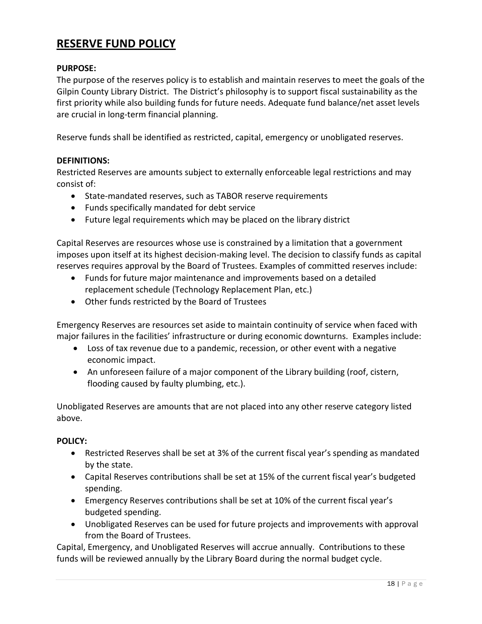# **RESERVE FUND POLICY**

#### **PURPOSE:**

The purpose of the reserves policy is to establish and maintain reserves to meet the goals of the Gilpin County Library District. The District's philosophy is to support fiscal sustainability as the first priority while also building funds for future needs. Adequate fund balance/net asset levels are crucial in long-term financial planning.

Reserve funds shall be identified as restricted, capital, emergency or unobligated reserves.

#### **DEFINITIONS:**

Restricted Reserves are amounts subject to externally enforceable legal restrictions and may consist of:

- State-mandated reserves, such as TABOR reserve requirements
- Funds specifically mandated for debt service
- Future legal requirements which may be placed on the library district

Capital Reserves are resources whose use is constrained by a limitation that a government imposes upon itself at its highest decision-making level. The decision to classify funds as capital reserves requires approval by the Board of Trustees. Examples of committed reserves include:

- Funds for future major maintenance and improvements based on a detailed replacement schedule (Technology Replacement Plan, etc.)
- Other funds restricted by the Board of Trustees

Emergency Reserves are resources set aside to maintain continuity of service when faced with major failures in the facilities' infrastructure or during economic downturns. Examples include:

- Loss of tax revenue due to a pandemic, recession, or other event with a negative economic impact.
- An unforeseen failure of a major component of the Library building (roof, cistern, flooding caused by faulty plumbing, etc.).

Unobligated Reserves are amounts that are not placed into any other reserve category listed above.

#### **POLICY:**

- Restricted Reserves shall be set at 3% of the current fiscal year's spending as mandated by the state.
- Capital Reserves contributions shall be set at 15% of the current fiscal year's budgeted spending.
- Emergency Reserves contributions shall be set at 10% of the current fiscal year's budgeted spending.
- Unobligated Reserves can be used for future projects and improvements with approval from the Board of Trustees.

Capital, Emergency, and Unobligated Reserves will accrue annually. Contributions to these funds will be reviewed annually by the Library Board during the normal budget cycle.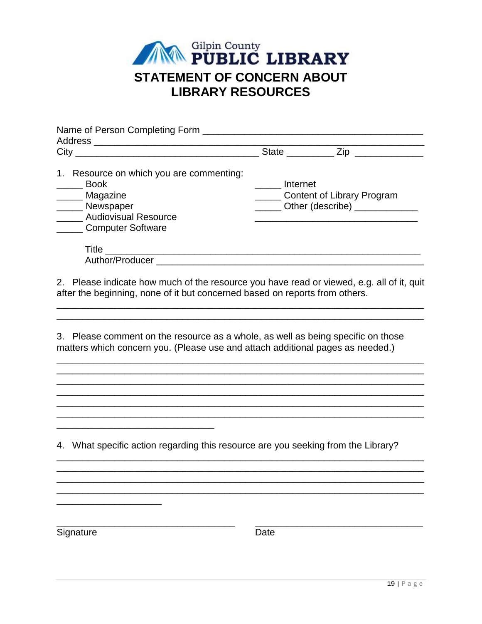

| <u>__</u> ___ Internet | Content of Library Program<br>______ Other (describe) _____________                                                                                                |
|------------------------|--------------------------------------------------------------------------------------------------------------------------------------------------------------------|
|                        | 2. Please indicate how much of the resource you have read or viewed, e.g. all of it, quit                                                                          |
|                        | 3. Please comment on the resource as a whole, as well as being specific on those<br>matters which concern you. (Please use and attach additional pages as needed.) |
|                        | after the beginning, none of it but concerned based on reports from others.                                                                                        |

4. What specific action regarding this resource are you seeking from the Library?

\_\_\_\_\_\_\_\_\_\_\_\_\_\_\_\_\_\_\_\_\_\_\_\_\_\_\_\_\_\_\_\_\_\_\_\_\_\_\_\_\_\_\_\_\_\_\_\_\_\_\_\_\_\_\_\_\_\_\_\_\_\_\_\_\_\_\_\_\_\_

\_\_\_\_\_\_\_\_\_\_\_\_\_\_\_\_\_\_\_\_\_\_\_\_\_\_\_\_\_\_\_\_\_\_\_\_\_\_\_\_\_\_\_\_\_\_\_\_\_\_\_\_\_\_\_\_\_\_\_\_\_\_\_\_\_\_\_\_\_\_ \_\_\_\_\_\_\_\_\_\_\_\_\_\_\_\_\_\_\_\_\_\_\_\_\_\_\_\_\_\_\_\_\_\_\_\_\_\_\_\_\_\_\_\_\_\_\_\_\_\_\_\_\_\_\_\_\_\_\_\_\_\_\_\_\_\_\_\_\_\_ \_\_\_\_\_\_\_\_\_\_\_\_\_\_\_\_\_\_\_\_\_\_\_\_\_\_\_\_\_\_\_\_\_\_\_\_\_\_\_\_\_\_\_\_\_\_\_\_\_\_\_\_\_\_\_\_\_\_\_\_\_\_\_\_\_\_\_\_\_\_ \_\_\_\_\_\_\_\_\_\_\_\_\_\_\_\_\_\_\_\_\_\_\_\_\_\_\_\_\_\_\_\_\_\_\_\_\_\_\_\_\_\_\_\_\_\_\_\_\_\_\_\_\_\_\_\_\_\_\_\_\_\_\_\_\_\_\_\_\_\_

 $\overline{\phantom{a}}$  , and the contribution of the contribution of  $\overline{\phantom{a}}$  , and  $\overline{\phantom{a}}$  , and  $\overline{\phantom{a}}$  , and  $\overline{\phantom{a}}$  , and  $\overline{\phantom{a}}$  , and  $\overline{\phantom{a}}$  , and  $\overline{\phantom{a}}$  , and  $\overline{\phantom{a}}$  , and  $\overline{\phantom{a}}$  , and

Signature Date

\_\_\_\_\_\_\_\_\_\_\_\_\_\_\_\_\_\_\_\_

\_\_\_\_\_\_\_\_\_\_\_\_\_\_\_\_\_\_\_\_\_\_\_\_\_\_\_\_\_\_